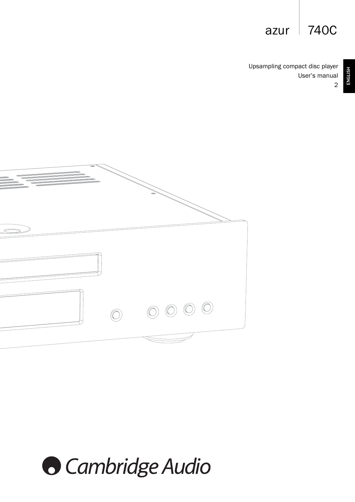# azur  $\vert$  740C

Upsampling compact disc player User's manual 2



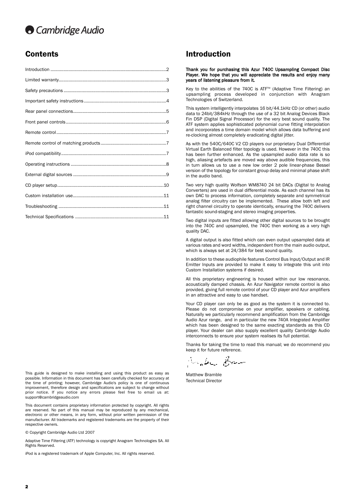# **O** Cambridge Audio

This guide is designed to make installing and using this product as easy as possible. Information in this document has been carefully checked for accuracy at the time of printing; however, Cambridge Audio's policy is one of continuous improvement, therefore design and specifications are subject to change without prior notice. If you notice any errors please feel free to email us at: support@cambridgeaudio.com

This document contains proprietary information protected by copyright. All rights are reserved. No part of this manual may be reproduced by any mechanical, electronic or other means, in any form, without prior written permission of the manufacturer. All trademarks and registered trademarks are the property of their respective owners.

© Copyright Cambridge Audio Ltd 2007

Adaptive Time Filtering (ATF) technology is copyright Anagram Technologies SA. All Rights Reserved.

iPod is a registered trademark of Apple Computer, Inc. All rights reserved.

## **Contents Introduction**

#### Thank you for purchasing this Azur 740C Upsampling Compact Disc Player. We hope that you will appreciate the results and enjoy many years of listening pleasure from it.

Key to the abilities of the 740C is ATF<sup>™</sup> (Adaptive Time Filtering) an upsampling process developed in conjunction with Anagram Technologies of Switzerland.

This system intelligently interpolates 16 bit/44.1kHz CD (or other) audio data to 24bit/384kHz through the use of a 32 bit Analog Devices Black Fin DSP (Digital Signal Processor) for the very best sound quality. The ATF system applies sophisticated polynomial curve fitting interpolation and incorporates a time domain model which allows data buffering and re-clocking almost completely eradicating digital jitter.

As with the 540C/640C V2 CD players our proprietary Dual Differential Virtual Earth Balanced filter topology is used. However in the 740C this has been further enhanced. As the upsampled audio data rate is so high, aliasing artefacts are moved way above audible frequencies, this in turn allows us to use a new low order 2 pole linear-phase Bessel version of the topology for constant group delay and minimal phase shift in the audio band.

Two very high quality Wolfson WM8740 24 bit DACs (Digital to Analog Converters) are used in dual differential mode. As each channel has its own DAC to process information, completely separate and symmetrical analog filter circuitry can be implemented. These allow both left and right channel circuitry to operate identically, ensuring the 740C delivers fantastic sound-staging and stereo imaging properties.

Two digital inputs are fitted allowing other digital sources to be brought into the 740C and upsampled, the 740C then working as a very high quality DAC.

A digital output is also fitted which can even output upsampled data at various rates and word widths, independent from the main audio output, which is always set at 24/384 for best sound quality.

In addition to these audiophile features Control Bus Input/Output and IR Emitter Inputs are provided to make it easy to integrate this unit into Custom Installation systems if desired.

All this proprietary engineering is housed within our low resonance, acoustically damped chassis. An Azur Navigator remote control is also provided, giving full remote control of your CD player and Azur amplifiers in an attractive and easy to use handset.

Your CD player can only be as good as the system it is connected to. Please do not compromise on your amplifier, speakers or cabling. Naturally we particularly recommend amplification from the Cambridge Audio Azur range, and in particular the new 740A Integrated Amplifier which has been designed to the same exacting standards as this CD player. Your dealer can also supply excellent quality Cambridge Audio interconnects to ensure your system realises its full potential.

Thanks for taking the time to read this manual; we do recommend you keep it for future reference.

Janke Ban

Matthew Bramble Technical Director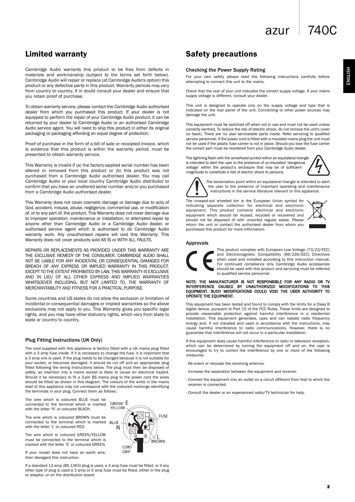ENGLISH

Cambridge Audio warrants this product to be free from defects in materials and workmanship (subject to the terms set forth below). Cambridge Audio will repair or replace (at Cambridge Audio's option) this product or any defective parts in this product. Warranty periods may vary from country to country. If in doubt consult your dealer and ensure that you retain proof of purchase.

To obtain warranty service, please contact the Cambridge Audio authorised dealer from which you purchased this product. If your dealer is not equipped to perform the repair of your Cambridge Audio product, it can be returned by your dealer to Cambridge Audio or an authorised Cambridge Audio service agent. You will need to ship this product in either its original packaging or packaging affording an equal degree of protection.

Proof of purchase in the form of a bill of sale or receipted invoice, which is evidence that this product is within the warranty period, must be presented to obtain warranty service.

This Warranty is invalid if (a) the factory-applied serial number has been altered or removed from this product or (b) this product was not purchased from a Cambridge Audio authorised dealer. You may call Cambridge Audio or your local country Cambridge Audio distributor to confirm that you have an unaltered serial number and/or you purchased from a Cambridge Audio authorised dealer.

This Warranty does not cover cosmetic damage or damage due to acts of God, accident, misuse, abuse, negligence, commercial use, or modification of, or to any part of, the product. This Warranty does not cover damage due to improper operation, maintenance or installation, or attempted repair by anyone other than Cambridge Audio or a Cambridge Audio dealer, or authorised service agent which is authorised to do Cambridge Audio warranty work. Any unauthorised repairs will void this Warranty. This Warranty does not cover products sold AS IS or WITH ALL FAULTS.

REPAIRS OR REPLACEMENTS AS PROVIDED UNDER THIS WARRANTY ARE THE EXCLUSIVE REMEDY OF THE CONSUMER. CAMBRIDGE AUDIO SHALL NOT BE LIABLE FOR ANY INCIDENTAL OR CONSEQUENTIAL DAMAGES FOR BREACH OF ANY EXPRESS OR IMPLIED WARRANTY IN THIS PRODUCT. EXCEPT TO THE EXTENT PROHIBITED BY LAW, THIS WARRANTY IS EXCLUSIVE AND IN LIEU OF ALL OTHER EXPRESS AND IMPLIED WARRANTIES WHATSOEVER INCLUDING, BUT NOT LIMITED TO, THE WARRANTY OF MERCHANTABILITY AND FITNESS FOR A PRACTICAL PURPOSE.

Some countries and US states do not allow the exclusion or limitation of incidental or consequential damages or implied warranties so the above exclusions may not apply to you. This Warranty gives you specific legal rights, and you may have other statutory rights, which vary from state to state or country to country.

#### Plug Fitting Instructions (UK Only)

The cord supplied with this appliance is factory fitted with a UK mains plug fitted with a 3 amp fuse inside. If it is necessary to change the fuse, it is important that a 3 amp one is used. If the plug needs to be changed because it is not suitable for your socket, or becomes damaged, it should be cut off and an appropriate plug fitted following the wiring instructions below. The plug must then be disposed of safely, as insertion into a mains socket is likely to cause an electrical hazard. Should it be necessary to fit a 3-pin BS mains plug to the power cord the wires should be fitted as shown in this diagram. The colours of the wires in the mains lead of this appliance may not correspond with the coloured markings identifying the terminals in your plug. Connect them as follows:

The wire which is coloured BLUE must be connected to the terminal which is marked with the letter 'N' or coloured BLACK.

The wire which is coloured BROWN must be connected to the terminal which is marked with the letter 'L' or coloured RED.

The wire which is coloured GREEN/YELLOW must be connected to the terminal which is marked with the letter 'E' or coloured GREEN.

If your model does not have an earth wire, then disregard this instruction.

If a standard 13 amp (BS 1363) plug is used, a 3 amp fuse must be fitted, or if any other type of plug is used a 3 amp or 5 amp fuse must be fitted, either in the plug or adaptor, or on the distribution board.



## Limited warranty **Safety** precautions

### Checking the Power Supply Rating

For your own safety please read the following instructions carefully before attempting to connect this unit to the mains.

Check that the rear of your unit indicates the correct supply voltage. If your mains supply voltage is different, consult your dealer.

This unit is designed to operate only on the supply voltage and type that is indicated on the rear panel of the unit. Connecting to other power sources may damage the unit.

This equipment must be switched off when not in use and must not be used unless correctly earthed. To reduce the risk of electric shock, do not remove the unit's cover (or back). There are no user serviceable parts inside. Refer servicing to qualified service personnel. If the power cord is fitted with a moulded mains plug the unit must not be used if the plastic fuse carrier is not in place. Should you lose the fuse carrier the correct part must be reordered from your Cambridge Audio dealer.

The lightning flash with the arrowhead symbol within an equilateral triangle is intended to alert the user to the presence of un-insulated 'dangerous voltage' within the product's enclosure that may be of sufficient magnitude to constitute a risk of electric shock to persons.





The exclamation point within an equilateral triangle is intended to alert the user to the presence of important operating and maintenance instructions in the service literature relevant to this appliance.

The crossed-out wheeled bin is the European Union symbol for indicating separate collection for electrical and electronic equipment. This product contains electrical and electronic equipment which should be reused, recycled or recovered and should not be disposed of with unsorted regular waste. Please return the unit or contact the authorised dealer from whom you purchased this product for more information.



#### Approvals



This product complies with European Low Voltage (73/23/EEC) and Electromagnetic Compatibility (89/336/EEC) Directives when used and installed according to this instruction manual. For continued compliance only Cambridge Audio accessories should be used with this product and servicing must be referred to qualified service personnel.

NOTE: THE MANUFACTURER IS NOT RESPONSIBLE FOR ANY RADIO OR TV INTERFERENCE CAUSED BY UNAUTHORIZED MODIFICATIONS TO THIS EQUIPMENT. SUCH MODIFICATIONS COULD VOID THE USER AUTHORITY TO OPERATE THE EQUIPMENT.

This equipment has been tested and found to comply with the limits for a Class B digital device, pursuant to Part 15 of the FCC Rules. These limits are designed to provide reasonable protection against harmful interference in a residential installation. This equipment generates, uses and can radiate radio frequency energy and, if not installed and used in accordance with the instructions, may cause harmful interference to radio communications. However, there is no guarantee that interference will not occur in a particular installation.

If this equipment does cause harmful interference to radio or television reception, which can be determined by turning the equipment off and on, the user is encouraged to try to correct the interference by one or more of the following measures:

- Re-orient or relocate the receiving antenna.
- Increase the separation between the equipment and receiver.
- Connect the equipment into an outlet on a circuit different from that to which the receiver is connected.
- Consult the dealer or an experienced radio/TV technician for help.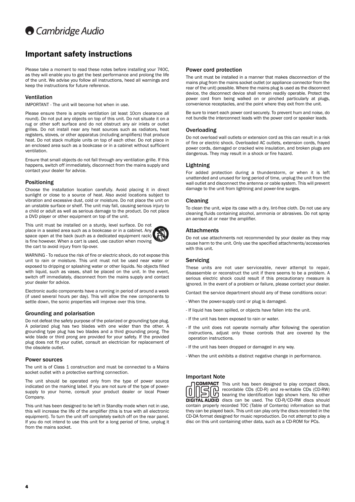# **Cambridge Audio**

## Important safety instructions

Please take a moment to read these notes before installing your 740C, as they will enable you to get the best performance and prolong the life of the unit. We advise you follow all instructions, heed all warnings and keep the instructions for future reference.

### Ventilation

IMPORTANT - The unit will become hot when in use.

Please ensure there is ample ventilation (at least 10cm clearance all round). Do not put any objects on top of this unit. Do not situate it on a rug or other soft surface and do not obstruct any air inlets or outlet grilles. Do not install near any heat sources such as radiators, heat registers, stoves, or other apparatus (including amplifiers) that produce heat. Do not stack multiple units on top of each other. Do not place in an enclosed area such as a bookcase or in a cabinet without sufficient ventilation.

Ensure that small objects do not fall through any ventilation grille. If this happens, switch off immediately, disconnect from the mains supply and contact your dealer for advice.

### Positioning

Choose the installation location carefully. Avoid placing it in direct sunlight or close to a source of heat. Also avoid locations subject to vibration and excessive dust, cold or moisture. Do not place the unit on an unstable surface or shelf. The unit may fall, causing serious injury to a child or adult as well as serious damage to the product. Do not place a DVD player or other equipment on top of the unit.

This unit must be installed on a sturdy, level surface. Do not place in a sealed area such as a bookcase or in a cabinet. Any space open at the back (such as a dedicated equipment rack) is fine however. When a cart is used, use caution when moving the cart to avoid injury from tip-over.



WARNING - To reduce the risk of fire or electric shock, do not expose this unit to rain or moisture. This unit must not be used near water or exposed to dripping or splashing water or other liquids. No objects filled with liquid, such as vases, shall be placed on the unit. In the event, switch off immediately, disconnect from the mains supply and contact your dealer for advice.

Electronic audio components have a running in period of around a week (if used several hours per day). This will allow the new components to settle down, the sonic properties will improve over this time.

### Grounding and polarisation

Do not defeat the safety purpose of the polarized or grounding type plug. A polarized plug has two blades with one wider than the other. A grounding type plug has two blades and a third grounding prong. The wide blade or third prong are provided for your safety. If the provided plug does not fit your outlet, consult an electrician for replacement of the obsolete outlet.

### Power sources

The unit is of Class 1 construction and must be connected to a Mains socket outlet with a protective earthing connection.

The unit should be operated only from the type of power source indicated on the marking label. If you are not sure of the type of powersupply to your home, consult your product dealer or local Power Company.

This unit has been designed to be left in Standby mode when not in use, this will increase the life of the amplifier (this is true with all electronic equipment). To turn the unit off completely switch off on the rear panel. If you do not intend to use this unit for a long period of time, unplug it from the mains socket.

### Power cord protection

The unit must be installed in a manner that makes disconnection of the mains plug from the mains socket outlet (or appliance connector from the rear of the unit) possible. Where the mains plug is used as the disconnect device, the disconnect device shall remain readily operable. Protect the power cord from being walked on or pinched particularly at plugs, convenience receptacles, and the point where they exit from the unit.

Be sure to insert each power cord securely. To prevent hum and noise, do not bundle the interconnect leads with the power cord or speaker leads.

### **Overloading**

Do not overload wall outlets or extension cord as this can result in a risk of fire or electric shock. Overloaded AC outlets, extension cords, frayed power cords, damaged or cracked wire insulation, and broken plugs are dangerous. They may result in a shock or fire hazard.

### Lightning

For added protection during a thunderstorm, or when it is left unattended and unused for long period of time, unplug the unit from the wall outlet and disconnect the antenna or cable system. This will prevent damage to the unit from lightning and power-line surges.

### Cleaning

To clean the unit, wipe its case with a dry, lint-free cloth. Do not use any cleaning fluids containing alcohol, ammonia or abrasives. Do not spray an aerosol at or near the amplifier.

### **Attachments**

Do not use attachments not recommended by your dealer as they may cause harm to the unit. Only use the specified attachments/accessories with this unit.

### Servicing

These units are not user serviceable, never attempt to repair, disassemble or reconstruct the unit if there seems to be a problem. A serious electric shock could result if this precautionary measure is ignored. In the event of a problem or failure, please contact your dealer.

Contact the service department should any of these conditions occur:

- When the power-supply cord or plug is damaged.
- If liquid has been spilled, or objects have fallen into the unit.
- If the unit has been exposed to rain or water.
- If the unit does not operate normally after following the operation instructions, adjust only those controls that are covered by the operation instructions.
- If the unit has been dropped or damaged in any way.
- When the unit exhibits a distinct negative change in performance.

### Important Note



**COMPACT** This unit has been designed to play compact discs, n I recordable CDs (CD-R) and re-writable CDs (CD-RW)  $\mathfrak l$  bearing the identification logo shown here. No other **DIGITAL AUDIO** discs can be used. The CD-R/CD-RW discs should contain properly recorded TOC (Table of Contents) information so that they can be played back. This unit can play only the discs recorded in the CD-DA format designed for music reproduction. Do not attempt to play a disc on this unit containing other data, such as a CD-ROM for PCs.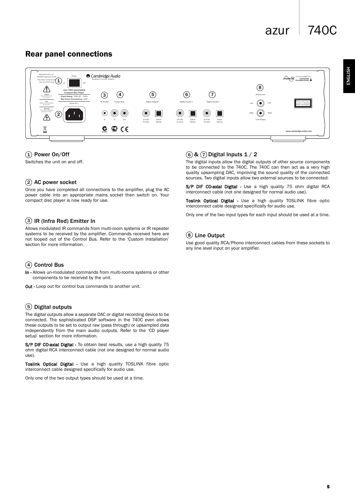## azur 740C

## Rear panel connections



## $(1)$  Power On/Off

Switches the unit on and off.

## 2) AC power socket

Once you have completed all connections to the amplifier, plug the AC power cable into an appropriate mains socket then switch on. Your compact disc player is now ready for use.

## 3) IR (Infra Red) Emitter In

Allows modulated IR commands from multi-room systems or IR repeater systems to be received by the amplifier. Commands received here are not looped out of the Control Bus. Refer to the 'Custom Installation' section for more information.

### Control Bus 4

In - Allows un-modulated commands from multi-rooms systems or other components to be received by the unit.

Out - Loop out for control bus commands to another unit.

## 5) Digital outputs

The digital outputs allow a separate DAC or digital recording device to be connected. The sophisticated DSP software in the 740C even allows these outputs to be set to output raw (pass through) or upsampled data independently from the main audio outputs. Refer to the 'CD player setup' section for more information.

S/P DIF CO-axial Digital - To obtain best results, use a high quality 75 ohm digital RCA interconnect cable (not one designed for normal audio use).

Toslink Optical Digital - Use a high quality TOSLINK fibre optic interconnect cable designed specifically for audio use.

Only one of the two output types should be used at a time.

## $\widehat{1}$ ) Power On/Off  $\qquad \qquad (\widehat{6})\, \&\, (\widehat{7})$  Digital Inputs 1 / 2

The digital inputs allow the digital outputs of other source components to be connected to the 740C. The 740C can then act as a very high quality upsampling DAC, improving the sound quality of the connected sources. Two digital inputs allow two external sources to be connected:

S/P DIF CO-axial Digital - Use a high quality 75 ohm digital RCA interconnect cable (not one designed for normal audio use).

Toslink Optical Digital - Use a high quality TOSLINK fibre optic interconnect cable designed specifically for audio use.

Only one of the two input types for each input should be used at a time.

## Line Output 8

Use good quality RCA/Phono interconnect cables from these sockets to any line level input on your amplifier.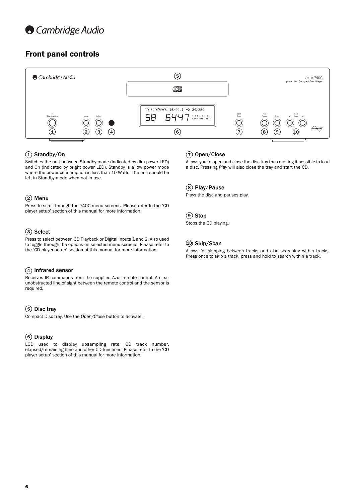## Front panel controls



## $\widehat{\mathbf{1}}$ ) Standby/On

Switches the unit between Standby mode (indicated by dim power LED) and On (indicated by bright power LED). Standby is a low power mode where the power consumption is less than 10 Watts. The unit should be left in Standby mode when not in use.

## Menu 2

Press to scroll through the 740C menu screens. Please refer to the 'CD player setup' section of this manual for more information.

## 3) Select

Press to select between CD Playback or Digital Inputs 1 and 2. Also used to toggle through the options on selected menu screens. Please refer to the 'CD player setup' section of this manual for more information.

## 4) Infrared sensor

Receives IR commands from the supplied Azur remote control. A clear unobstructed line of sight between the remote control and the sensor is required.

## 5) Disc tray

Compact Disc tray. Use the *Open/Close* button to activate.

## Display 6

LCD used to display upsampling rate, CD track number, elapsed/remaining time and other CD functions. Please refer to the 'CD player setup' section of this manual for more information.

## Open/Close 7

Allows you to open and close the disc tray thus making it possible to load a disc. Pressing *Play* will also close the tray and start the CD.

### Play/Pause 8

Plays the disc and pauses play.

### 9) Stop

Stops the CD playing.

### $\left( 10 \right)$  Skip/Scan

Allows for skipping between tracks and also searching within tracks. Press once to skip a track, press and hold to search within a track.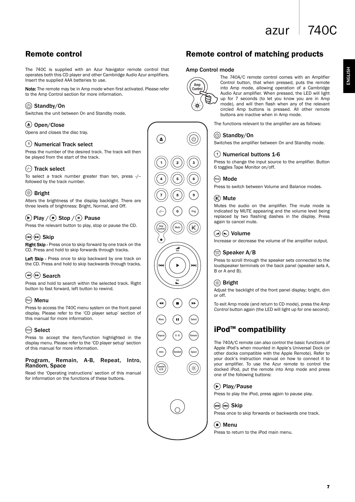## azur  $\vert$  740C

ENGLISH ENGLISH

## Remote control

The 740C is supplied with an Azur Navigator remote control that operates both this CD player and other Cambridge Audio Azur amplifiers. Insert the supplied AAA batteries to use.

Note: The remote may be in Amp mode when first activated. Please refer to the Amp Control section for more information.

## Standby/On

Switches the unit between On and Standby mode.

### $\triangle$ ) Open/Close

Opens and closes the disc tray.

### $(1)$  Numerical Track select

Press the number of the desired track. The track will then be played from the start of the track.

## $(\cdot)$  Track select

To select a track number greater than ten, press -/- followed by the track number.

## **Bright**

Alters the brightness of the display backlight. There are three levels of brightness: Bright, Normal, and Off.

## $(\triangleright)$  Play  $/(\square)$  Stop  $/(\square)$  Pause

Press the relevant button to play, stop or pause the CD.

## $(A)$  $(A)$  Skip

Right Skip - Press once to skip forward by one track on the CD. Press and hold to skip forwards through tracks.

Left Skip - Press once to skip backward by one track on the CD. Press and hold to skip backwards through tracks.

## Search

Press and hold to search within the selected track. Right button to fast forward, left button to rewind.

## Menu Menu

Press to access the 740C menu system on the front panel display. Please refer to the 'CD player setup' section of this manual for more information.

## $\stackrel{\text{\tiny\textsf{Select}}}{=}$  Select

Press to accept the item/function highlighted in the display menu. Please refer to the 'CD player setup' section of this manual for more information.

### Program, Remain, A-B, Repeat, Intro, Random, Space

Read the 'Operating instructions' section of this manual for information on the functions of these buttons.



## Remote control of matching products

### Amp Control mode



The 740A/C remote control comes with an Amplifier Control button, that when pressed, puts the remote into Amp mode, allowing operation of a Cambridge Audio Azur amplifier. When pressed, the LED will light up for 7 seconds (to let you know you are in Amp mode), and will then flash when any of the relevant circled Amp buttons is pressed. All other remote buttons are inactive when in Amp mode.

The functions relevant to the amplifier are as follows:

### Standby/On

Switches the amplifier between On and Standby mode.

## Numerical buttons 1-6

Press to change the input source to the amplifier. Button 6 toggles Tape Monitor on/off.

### Mode Mode

Press to switch between Volume and Balance modes.

### (M) Mute

Mutes the audio on the amplifier. The mute mode is indicated by MUTE appearing and the volume level being replaced by two flashing dashes in the display. Press again to cancel mute.



Increase or decrease the volume of the amplifier output.

### Speaker A/B Speaker A/B

Press to scroll through the speaker sets connected to the loudspeaker terminals on the back panel (speaker sets A, B or A and B).

### Bright

Adjust the backlight of the front panel display; bright, dim or off.

To exit Amp mode (and return to CD mode), press the *Amp Control* button again (the LED will light up for one second).

## iPod<sup>™</sup> compatibility

The 740A/C remote can also control the basic functions of Apple iPod's when mounted in Apple's Universal Dock (or other docks compatible with the Apple Remote). Refer to your dock's instruction manual on how to connect it to your amplifier. To use the Azur remote to control the docked iPod, put the remote into Amp mode and press one of the following buttons:

## Play/Pause

Press to play the iPod, press again to pause play.

## (HA) (PH) Skip

Press once to skip forwards or backwards one track.

### (■) Menu

Press to return to the iPod main menu.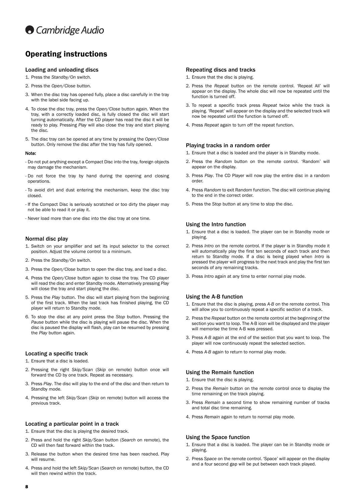

## Operating instructions

### Loading and unloading discs

- 1. Press the *Standby/On* switch.
- 2. Press the *Open/Close* button.
- 3. When the disc tray has opened fully, place a disc carefully in the tray with the label side facing up.
- 4. To close the disc tray, press the *Open/Close* button again. When the tray, with a correctly loaded disc, is fully closed the disc will start turning automatically. After the CD player has read the disc it will be ready to play. Pressing *Play* will also close the tray and start playing the disc.
- 5. The disc tray can be opened at any time by pressing the *Open/Close* button. Only remove the disc after the tray has fully opened.

#### Note:

- Do not put anything except a Compact Disc into the tray, foreign objects may damage the mechanism.
- Do not force the tray by hand during the opening and closing operations.
- To avoid dirt and dust entering the mechanism, keep the disc tray closed.
- If the Compact Disc is seriously scratched or too dirty the player may not be able to read it or play it.
- Never load more than one disc into the disc tray at one time.

### Normal disc play

- 1. Switch on your amplifier and set its input selector to the correct position. Adjust the volume control to a minimum.
- 2. Press the *Standby/On* switch.
- 3. Press the *Open/Close* button to open the disc tray, and load a disc.
- 4. Press the *Open/Close* button again to close the tray. The CD player will read the disc and enter Standby mode. Alternatively pressing *Play* will close the tray and start playing the disc.
- 5. Press the *Play* button. The disc will start playing from the beginning of the first track. When the last track has finished playing, the CD player will return to Standby mode.
- 6. To stop the disc at any point press the *Stop* button. Pressing the *Pause* button while the disc is playing will pause the disc. When the disc is paused the display will flash, play can be resumed by pressing the *Play* button again.

### Locating a specific track

- 1. Ensure that a disc is loaded.
- 2. Pressing the right *Skip/Scan* (*Skip* on remote) button once will forward the CD by one track. Repeat as necessary.
- 3. Press *Play*. The disc will play to the end of the disc and then return to Standby mode.
- 4. Pressing the left *Skip/Scan* (*Skip* on remote) button will access the previous track.

### Locating a particular point in a track

- 1. Ensure that the disc is playing the desired track.
- 2. Press and hold the right *Skip/Scan* button (*Search* on remote), the CD will then fast forward within the track.
- 3. Release the button when the desired time has been reached. Play will resume.
- 4. Press and hold the left *Skip/Scan* (*Search* on remote) button, the CD will then rewind within the track.

#### Repeating discs and tracks

- 1. Ensure that the disc is playing.
- 2. Press the *Repeat* button on the remote control. 'Repeat All' will appear on the display. The whole disc will now be repeated until the function is turned off.
- 3. To repeat a specific track press *Repeat* twice while the track is playing. 'Repeat' will appear on the display and the selected track will now be repeated until the function is turned off.
- 4. Press *Repeat* again to turn off the repeat function.

### Playing tracks in a random order

- 1. Ensure that a disc is loaded and the player is in Standby mode.
- 2. Press the *Random* button on the remote control. 'Random' will appear on the display.
- 3. Press *Play*. The CD Player will now play the entire disc in a random order.
- 4. Press *Random* to exit Random function. The disc will continue playing to the end in the correct order.
- 5. Press the *Stop* button at any time to stop the disc.

### Using the Intro function

- 1. Ensure that a disc is loaded. The player can be in Standby mode or playing.
- 2. Press *Intro* on the remote control. If the player is in Standby mode it will automatically play the first ten seconds of each track and then return to Standby mode. If a disc is being played when *Intro* is pressed the player will progress to the next track and play the first ten seconds of any remaining tracks.
- 3. Press *Intro* again at any time to enter normal play mode.

### Using the A-B function

- 1. Ensure that the disc is playing, press *A-B* on the remote control. This will allow you to continuously repeat a specific section of a track.
- 2. Press the *Repeat* button on the remote control at the beginning of the section you want to loop. The A-B icon will be displayed and the player will memorise the time A-B was pressed.
- 3. Press *A-B* again at the end of the section that you want to loop. The player will now continuously repeat the selected section.
- 4. Press *A-B* again to return to normal play mode.

#### Using the Remain function

- 1. Ensure that the disc is playing.
- 2. Press the *Remain* button on the remote control once to display the time remaining on the track playing.
- 3. Press *Remain* a second time to show remaining number of tracks and total disc time remaining.
- 4. Press *Remain* again to return to normal play mode.

#### Using the Space function

- 1. Ensure that a disc is loaded. The player can be in Standby mode or playing.
- 2. Press *Space* on the remote control. 'Space' will appear on the display and a four second gap will be put between each track played.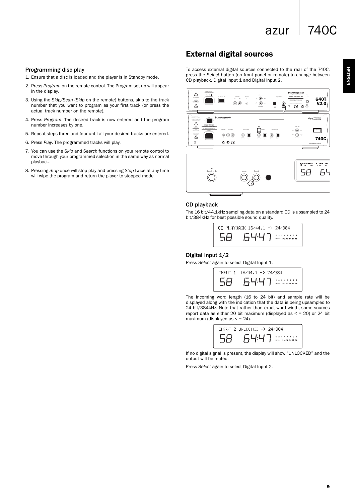# azur  $\vert$  740C

## Programming disc play

- 1. Ensure that a disc is loaded and the player is in Standby mode.
- 2. Press *Program* on the remote control. The Program set-up will appear in the display.
- 3. Using the *Skip/Scan* (*Skip* on the remote) buttons, skip to the track number that you want to program as your first track (or press the actual track number on the remote).
- 4. Press *Program*. The desired track is now entered and the program number increases by one.
- 5. Repeat steps three and four until all your desired tracks are entered.
- 6. Press *Play*. The programmed tracks will play.
- 7. You can use the *Skip* and *Search* functions on your remote control to move through your programmed selection in the same way as normal playback.
- 8. Pressing *Stop* once will stop play and pressing *Stop* twice at any time will wipe the program and return the player to stopped mode.

## External digital sources

To access external digital sources connected to the rear of the 740C, press the *Select* button (on front panel or remote) to change between CD playback, Digital Input 1 and Digital Input 2.



### CD playback

The 16 bit/44.1kHz sampling data on a standard CD is upsampled to 24 bit/384kHz for best possible sound quality.

> CD PLAYBACK 16/44.1 -> 24/384 58 7  $1 \quad 2 \quad 3 \quad 4 \quad 5 \quad 6 \quad 7 \quad 8$ <br> $9 \quad 10 \quad 11 \quad 12 \quad 13 \quad 14 \quad 15 \quad 16$

### Digital Input 1/2

Press *Select* again to select Digital Input 1.



The incoming word length (16 to 24 bit) and sample rate will be displayed along with the indication that the data is being upsampled to 24 bit/384kHz. Note that rather than exact word width, some sources report data as either 20 bit maximum (displayed as  $\le$  = 20) or 24 bit maximum (displayed as  $\le$  = 24).



If no digital signal is present, the display will show "UNLOCKED" and the output will be muted.

Press *Select* again to select Digital Input 2.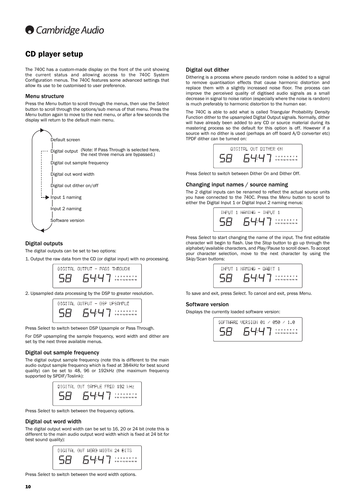

## CD player setup

The 740C has a custom-made display on the front of the unit showing the current status and allowing access to the 740C System Configuration menus. The 740C features some advanced settings that allow its use to be customised to user preference.

#### Menu structure

Press the *Menu* button to scroll through the menus, then use the *Select* button to scroll through the options/sub menus of that menu. Press the *Menu* button again to move to the next menu, or after a few seconds the display will return to the default main menu.



### Digital outputs

The digital outputs can be set to two options:

1. Output the raw data from the CD (or digital input) with no processing.



2. Upsampled data processing by the DSP to greater resolution.



Press *Select* to switch between DSP Upsample or Pass Through.

For DSP upsampling the sample frequency, word width and dither are set by the next three available menus.

### Digital out sample frequency

The digital output sample frequency (note this is different to the main audio output sample frequency which is fixed at 384kHz for best sound quality) can be set to 48, 96 or 192kHz (the maximum frequency supported by SPDIF/Toslink):

| DIGITAL OUT SAMPLE FREQ 192 kHz |  |  |                                           |  |  |
|---------------------------------|--|--|-------------------------------------------|--|--|
|                                 |  |  | 1 2 3 4 5 6 7 8<br>9 10 11 12 13 14 15 16 |  |  |

Press *Select* to switch between the frequency options.

### Digital out word width

The digital output word width can be set to 16, 20 or 24 bit (note this is different to the main audio output word width which is fixed at 24 bit for best sound quality):

| DIGITAL OUT WORD WIDTH 24 BITS |                                           |
|--------------------------------|-------------------------------------------|
|                                | 1 2 3 4 5 6 7 8<br>9 10 11 12 13 14 15 16 |

Press *Select* to switch between the word width options.

### Digital out dither

Dithering is a process where pseudo random noise is added to a signal to remove quantisation effects that cause harmonic distortion and replace them with a slightly increased noise floor. The process can improve the perceived quality of digitised audio signals as a small decrease in signal to noise ration (especially where the noise is random) is much preferably to harmonic distortion to the human ear.

The 740C is able to add what is called Triangular Probability Density Function dither to the upsampled Digital Output signals. Normally, dither will have already been added to any CD or source material during its mastering process so the default for this option is off. However if a source with no dither is used (perhaps an off board A/D converter etc) TPDF dither can be turned on:



Press *Select* to switch between Dither On and Dither Off.

#### Changing input names / source naming

The 2 digital inputs can be renamed to reflect the actual source units you have connected to the 740C. Press the *Menu* button to scroll to either the Digital Input 1 or Digital Input 2 naming menus:



Press *Select* to start changing the name of the input. The first editable character will begin to flash. Use the *Stop* button to go up through the alphabet/available characters, and *Play/Pause* to scroll down. To accept your character selection, move to the next character by using the *Skip/Scan* buttons:

| INPUT 1 NAMING - DABIT 1                  |
|-------------------------------------------|
| 1 2 3 4 5 6 7 8<br>9 10 11 12 13 14 15 16 |

To save and exit, press *Select*. To cancel and exit, press *Menu*.

### Software version

Displays the currently loaded software version:

| SOFTWARE VERSION 01 / 050 |  |                                           | - и п. и |  |  |
|---------------------------|--|-------------------------------------------|----------|--|--|
|                           |  | 1 2 3 4 5 6 7 8<br>9 10 11 12 13 14 15 16 |          |  |  |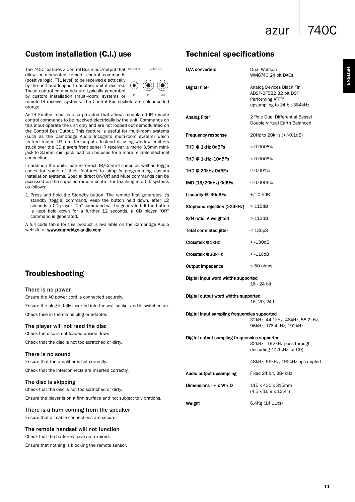azur 740C

WM8740 24 bit DACs

Technical specifications

**Digital filter** Analog Devices Black Fin

Control Bus **D/A converters** Dual Wolfson

## Custom installation (C.I.) use

by custom installation (multi-room) systems or

The 740C features a Control Bus input/output that IR Emitter allow un-modulated remote control commands (positive logic, TTL level) to be received electrically by the unit and looped to another unit if desired. (● These control commands are typically generated



remote IR receiver systems. The Control Bus sockets are c orange.

An IR Emitter Input is also provided that allows modulated control commands to be received electrically by the unit. Co this input operate the unit only and are not looped out demo the Control Bus Output. This feature is useful for multi-room (such as the Cambridge Audio Incognito multi-room sys feature routed I.R. emitter outputs. Instead of using wind stuck over the CD players front panel IR receiver, a mono 3 jack to 3.5mm mini-jack lead can be used for a more reliab connection.

In addition the units feature 'direct' IR/Control codes as we codes for some of their features to simplify programm installation systems. Special direct On/Off and Mute comma accessed on the supplied remote control for teaching into as follows:

1. Press and hold the Standby button. The remote first ge standby (toggle) command. Keep the button held dow seconds a CD player "On" command will be generated. If is kept held down for a further 12 seconds, a CD command is generated.

A full code table for this product is available on the Camb website at www.cambridge-audio.com.

| In<br>In<br>Out<br>are colour-coded                                                                                                                                                                                                             |                                                                                                            | ADSP-BF532 32 bit DSP<br>Performing ATF <sup>™</sup><br>upsampling to 24 bit 384kHz |  |  |  |  |
|-------------------------------------------------------------------------------------------------------------------------------------------------------------------------------------------------------------------------------------------------|------------------------------------------------------------------------------------------------------------|-------------------------------------------------------------------------------------|--|--|--|--|
| dulated IR remote<br>าit. Commands on<br>t demodulated on<br>ulti-room systems<br>m system) which<br>window emitters<br>ono 3.5mm mini-<br>reliable electrical<br>as well as toggle<br>ramming custom<br>commands can be<br>ξ into C.I. systems | Analog filter                                                                                              | 2 Pole Dual Differential Bessel<br>Double Virtual Earth Balanced                    |  |  |  |  |
|                                                                                                                                                                                                                                                 | Frequency response                                                                                         | 20Hz to 20kHz (+/-0.1dB)                                                            |  |  |  |  |
|                                                                                                                                                                                                                                                 | THD @ 1kHz OdBFs                                                                                           | $< 0.0008\%$                                                                        |  |  |  |  |
|                                                                                                                                                                                                                                                 | THD @ 1kHz -10dBFs                                                                                         | $< 0.0005\%$                                                                        |  |  |  |  |
|                                                                                                                                                                                                                                                 | THD @ 20kHz 0dBFs                                                                                          | < 0.001%                                                                            |  |  |  |  |
|                                                                                                                                                                                                                                                 | IMD (19/20kHz) OdBFs                                                                                       | $< 0.0006\%$                                                                        |  |  |  |  |
| irst generates it's<br>d down, after 12                                                                                                                                                                                                         | Linearity @ -90dBFs                                                                                        | $+/- 0.5dB$                                                                         |  |  |  |  |
| ated. If the button<br>CD player "Off"                                                                                                                                                                                                          | Stopband rejection (>24kHz)                                                                                | >115dB                                                                              |  |  |  |  |
| Cambridge Audio                                                                                                                                                                                                                                 | S/N ratio, A weighted                                                                                      | >113dB                                                                              |  |  |  |  |
|                                                                                                                                                                                                                                                 | <b>Total correlated jitter</b>                                                                             | $<$ 130pS                                                                           |  |  |  |  |
|                                                                                                                                                                                                                                                 | Crosstalk @1kHz                                                                                            | $< -130dB$                                                                          |  |  |  |  |
|                                                                                                                                                                                                                                                 | Crosstalk @20kHz                                                                                           | $< -110dB$                                                                          |  |  |  |  |
|                                                                                                                                                                                                                                                 | Output impedance                                                                                           | $< 50$ ohms                                                                         |  |  |  |  |
|                                                                                                                                                                                                                                                 | Digital input word widths supported                                                                        | 16 - 24 bit                                                                         |  |  |  |  |
| nd is switched on.                                                                                                                                                                                                                              | Digital output word widths supported                                                                       | 16, 20, 24 bit                                                                      |  |  |  |  |
|                                                                                                                                                                                                                                                 | Digital input sampling frequencies supported                                                               | 32kHz, 44.1kHz, 48kHz, 88.2kHz,<br>96kHz, 176.4kHz, 192kHz                          |  |  |  |  |
|                                                                                                                                                                                                                                                 | Digital output sampling frequencies supported<br>32kHz - 192kHz pass through<br>(Including 44.1kHz for CD) |                                                                                     |  |  |  |  |
|                                                                                                                                                                                                                                                 |                                                                                                            | 48kHz, 96kHz, 192kHz upsampled                                                      |  |  |  |  |
|                                                                                                                                                                                                                                                 | Audio output upsampling                                                                                    | Fixed 24 bit, 384kHz                                                                |  |  |  |  |
|                                                                                                                                                                                                                                                 | Dimensions - H x W x D                                                                                     | 115 x 430 x 315mm<br>$(4.5 \times 16.9 \times 12.4)$                                |  |  |  |  |
| t to vibrations.                                                                                                                                                                                                                                | Weight                                                                                                     | 6.4Kg (14.1Lbs)                                                                     |  |  |  |  |
|                                                                                                                                                                                                                                                 |                                                                                                            |                                                                                     |  |  |  |  |

## Troubleshooting

### There is no power

Ensure the AC power cord is connected securely.

Ensure the plug is fully inserted into the wall socket and is s

Check fuse in the mains plug or adaptor.

### The player will not read the disc

Check the disc is not loaded upside down.

Check that the disc is not too scratched or dirty.

### There is no sound

Ensure that the amplifier is set correctly.

Check that the interconnects are inserted correctly.

### The disc is skipping

Check that the disc is not too scratched or dirty. Ensure the player is on a firm surface and not subject to vib

### There is a hum coming from the speaker

Ensure that all cable connections are secure.

### The remote handset will not function

Check that the batteries have not expired.

Ensure that nothing is blocking the remote sensor.